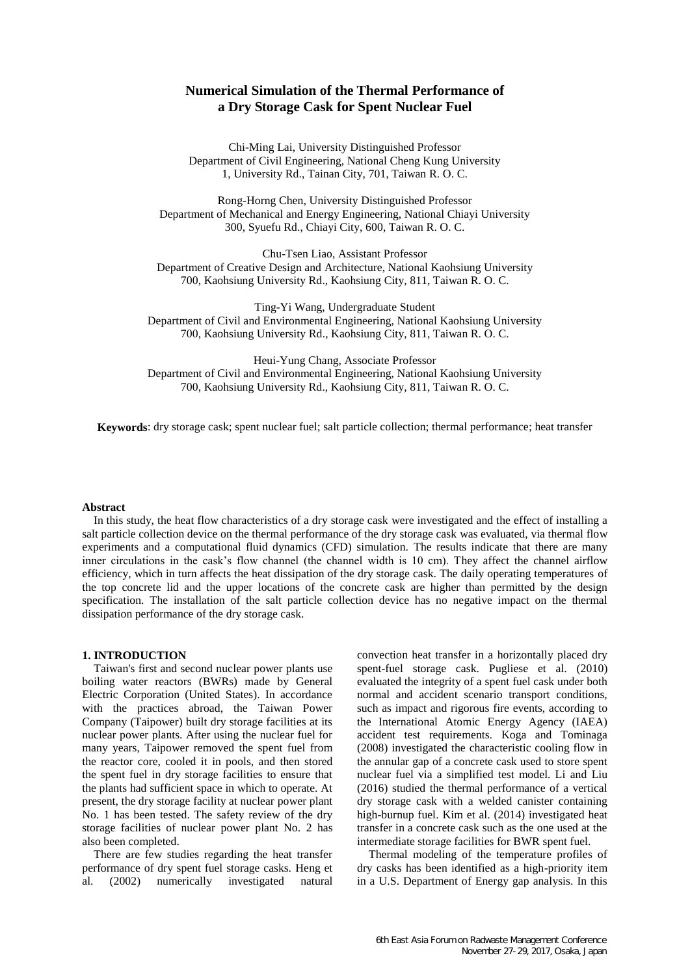# **Numerical Simulation of the Thermal Performance of a Dry Storage Cask for Spent Nuclear Fuel**

Chi-Ming Lai, University Distinguished Professor Department of Civil Engineering, National Cheng Kung University 1, University Rd., Tainan City, 701, Taiwan R. O. C.

Rong-Horng Chen, University Distinguished Professor Department of Mechanical and Energy Engineering, National Chiayi University 300, Syuefu Rd., Chiayi City, 600, Taiwan R. O. C.

Chu-Tsen Liao, Assistant Professor Department of Creative Design and Architecture, National Kaohsiung University 700, Kaohsiung University Rd., Kaohsiung City, 811, Taiwan R. O. C.

Ting-Yi Wang, Undergraduate Student Department of Civil and Environmental Engineering, National Kaohsiung University 700, Kaohsiung University Rd., Kaohsiung City, 811, Taiwan R. O. C.

Heui-Yung Chang, Associate Professor Department of Civil and Environmental Engineering, National Kaohsiung University 700, Kaohsiung University Rd., Kaohsiung City, 811, Taiwan R. O. C.

**Keywords**: dry storage cask; spent nuclear fuel; salt particle collection; thermal performance; heat transfer

#### **Abstract**

In this study, the heat flow characteristics of a dry storage cask were investigated and the effect of installing a salt particle collection device on the thermal performance of the dry storage cask was evaluated, via thermal flow experiments and a computational fluid dynamics (CFD) simulation. The results indicate that there are many inner circulations in the cask's flow channel (the channel width is 10 cm). They affect the channel airflow efficiency, which in turn affects the heat dissipation of the dry storage cask. The daily operating temperatures of the top concrete lid and the upper locations of the concrete cask are higher than permitted by the design specification. The installation of the salt particle collection device has no negative impact on the thermal dissipation performance of the dry storage cask.

## **1. INTRODUCTION**

Taiwan's first and second nuclear power plants use boiling water reactors (BWRs) made by General Electric Corporation (United States). In accordance with the practices abroad, the Taiwan Power Company (Taipower) built dry storage facilities at its nuclear power plants. After using the nuclear fuel for many years, Taipower removed the spent fuel from the reactor core, cooled it in pools, and then stored the spent fuel in dry storage facilities to ensure that the plants had sufficient space in which to operate. At present, the dry storage facility at nuclear power plant No. 1 has been tested. The safety review of the dry storage facilities of nuclear power plant No. 2 has also been completed.

There are few studies regarding the heat transfer performance of dry spent fuel storage casks. Heng et al. (2002) numerically investigated natural convection heat transfer in a horizontally placed dry spent-fuel storage cask. Pugliese et al. (2010) evaluated the integrity of a spent fuel cask under both normal and accident scenario transport conditions, such as impact and rigorous fire events, according to the International Atomic Energy Agency (IAEA) accident test requirements. Koga and Tominaga (2008) investigated the characteristic cooling flow in the annular gap of a concrete cask used to store spent nuclear fuel via a simplified test model. Li and Liu (2016) studied the thermal performance of a vertical dry storage cask with a welded canister containing high-burnup fuel. Kim et al. (2014) investigated heat transfer in a concrete cask such as the one used at the intermediate storage facilities for BWR spent fuel.

Thermal modeling of the temperature profiles of dry casks has been identified as a high-priority item in a U.S. Department of Energy gap analysis. In this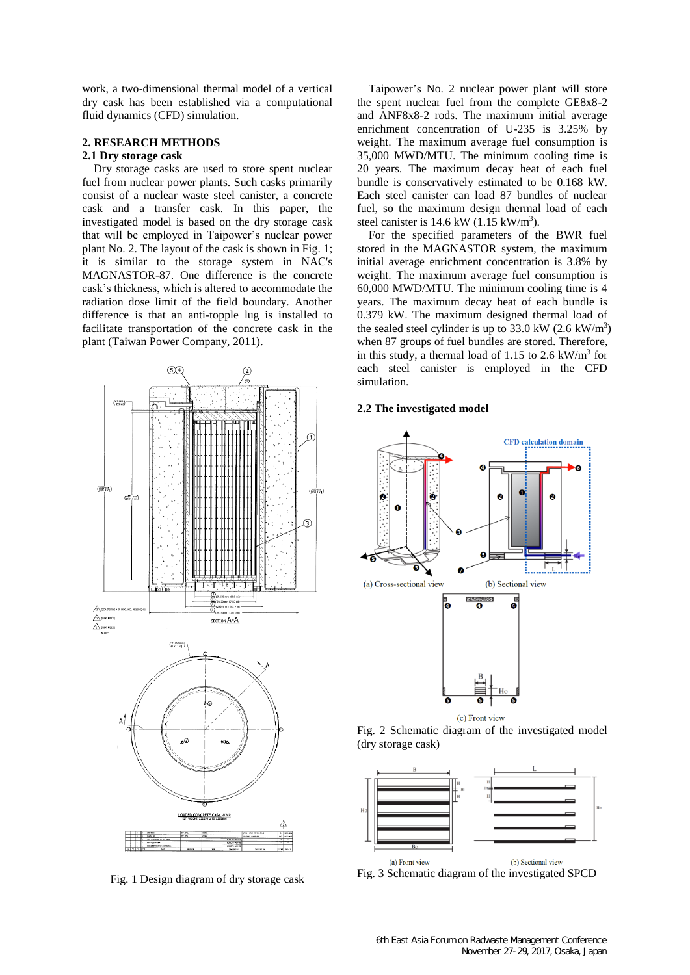work, a two-dimensional thermal model of a vertical dry cask has been established via a computational fluid dynamics (CFD) simulation.

## **2. RESEARCH METHODS**

## **2.1 Dry storage cask**

Dry storage casks are used to store spent nuclear fuel from nuclear power plants. Such casks primarily consist of a nuclear waste steel canister, a concrete cask and a transfer cask. In this paper, the investigated model is based on the dry storage cask that will be employed in Taipower's nuclear power plant No. 2. The layout of the cask is shown in Fig. 1; it is similar to the storage system in NAC's MAGNASTOR-87. One difference is the concrete cask's thickness, which is altered to accommodate the radiation dose limit of the field boundary. Another difference is that an anti-topple lug is installed to facilitate transportation of the concrete cask in the plant (Taiwan Power Company, 2011).



Fig. 1 Design diagram of dry storage cask

Taipower's No. 2 nuclear power plant will store the spent nuclear fuel from the complete GE8x8-2 and ANF8x8-2 rods. The maximum initial average enrichment concentration of U-235 is 3.25% by weight. The maximum average fuel consumption is 35,000 MWD/MTU. The minimum cooling time is 20 years. The maximum decay heat of each fuel bundle is conservatively estimated to be 0.168 kW. Each steel canister can load 87 bundles of nuclear fuel, so the maximum design thermal load of each steel canister is  $14.6 \text{ kW}$  (1.15 kW/m<sup>3</sup>).

For the specified parameters of the BWR fuel stored in the MAGNASTOR system, the maximum initial average enrichment concentration is 3.8% by weight. The maximum average fuel consumption is 60,000 MWD/MTU. The minimum cooling time is 4 years. The maximum decay heat of each bundle is 0.379 kW. The maximum designed thermal load of the sealed steel cylinder is up to  $33.0 \text{ kW}$  (2.6 kW/m<sup>3</sup>) when 87 groups of fuel bundles are stored. Therefore, in this study, a thermal load of 1.15 to 2.6  $kW/m<sup>3</sup>$  for each steel canister is employed in the CFD simulation.

## **2.2 The investigated model**







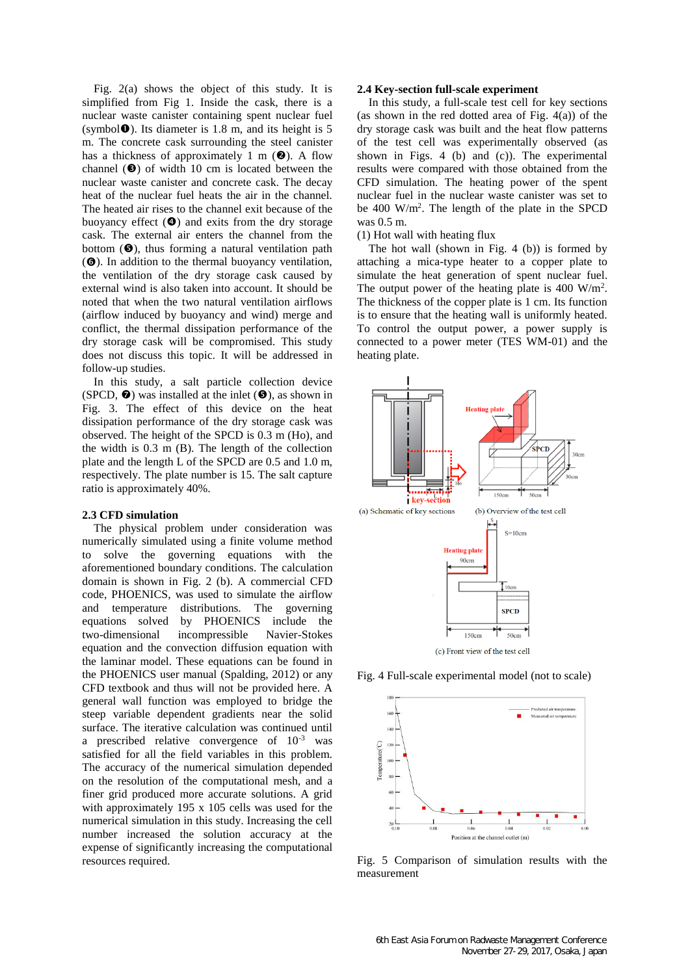Fig. 2(a) shows the object of this study. It is simplified from Fig 1. Inside the cask, there is a nuclear waste canister containing spent nuclear fuel (symbol $\bullet$ ). Its diameter is 1.8 m, and its height is 5 m. The concrete cask surrounding the steel canister has a thickness of approximately 1 m  $(\bullet)$ . A flow channel  $(\bullet)$  of width 10 cm is located between the nuclear waste canister and concrete cask. The decay heat of the nuclear fuel heats the air in the channel. The heated air rises to the channel exit because of the buoyancy effect  $(\bullet)$  and exits from the dry storage cask. The external air enters the channel from the bottom  $(\bullet)$ , thus forming a natural ventilation path ( $\odot$ ). In addition to the thermal buoyancy ventilation, the ventilation of the dry storage cask caused by external wind is also taken into account. It should be noted that when the two natural ventilation airflows (airflow induced by buoyancy and wind) merge and conflict, the thermal dissipation performance of the dry storage cask will be compromised. This study does not discuss this topic. It will be addressed in follow-up studies.

In this study, a salt particle collection device (SPCD,  $\odot$ ) was installed at the inlet ( $\odot$ ), as shown in Fig. 3. The effect of this device on the heat dissipation performance of the dry storage cask was observed. The height of the SPCD is 0.3 m (Ho), and the width is 0.3 m (B). The length of the collection plate and the length L of the SPCD are 0.5 and 1.0 m, respectively. The plate number is 15. The salt capture ratio is approximately 40%.

#### **2.3 CFD simulation**

The physical problem under consideration was numerically simulated using a finite volume method to solve the governing equations with the aforementioned boundary conditions. The calculation domain is shown in Fig. 2 (b). A commercial CFD code, PHOENICS, was used to simulate the airflow and temperature distributions. The governing equations solved by PHOENICS include the two-dimensional incompressible Navier-Stokes equation and the convection diffusion equation with the laminar model. These equations can be found in the PHOENICS user manual (Spalding, 2012) or any CFD textbook and thus will not be provided here. A general wall function was employed to bridge the steep variable dependent gradients near the solid surface. The iterative calculation was continued until a prescribed relative convergence of  $10^{-3}$  was satisfied for all the field variables in this problem. The accuracy of the numerical simulation depended on the resolution of the computational mesh, and a finer grid produced more accurate solutions. A grid with approximately 195 x 105 cells was used for the numerical simulation in this study. Increasing the cell number increased the solution accuracy at the expense of significantly increasing the computational resources required.

#### **2.4 Key-section full-scale experiment**

In this study, a full-scale test cell for key sections (as shown in the red dotted area of Fig. 4(a)) of the dry storage cask was built and the heat flow patterns of the test cell was experimentally observed (as shown in Figs. 4 (b) and (c)). The experimental results were compared with those obtained from the CFD simulation. The heating power of the spent nuclear fuel in the nuclear waste canister was set to be 400 W/m<sup>2</sup> . The length of the plate in the SPCD was 0.5 m.

#### (1) Hot wall with heating flux

The hot wall (shown in Fig. 4 (b)) is formed by attaching a mica-type heater to a copper plate to simulate the heat generation of spent nuclear fuel. The output power of the heating plate is 400 W/m<sup>2</sup>. The thickness of the copper plate is 1 cm. Its function is to ensure that the heating wall is uniformly heated. To control the output power, a power supply is connected to a power meter (TES WM-01) and the heating plate.



Fig. 4 Full-scale experimental model (not to scale)



Fig. 5 Comparison of simulation results with the measurement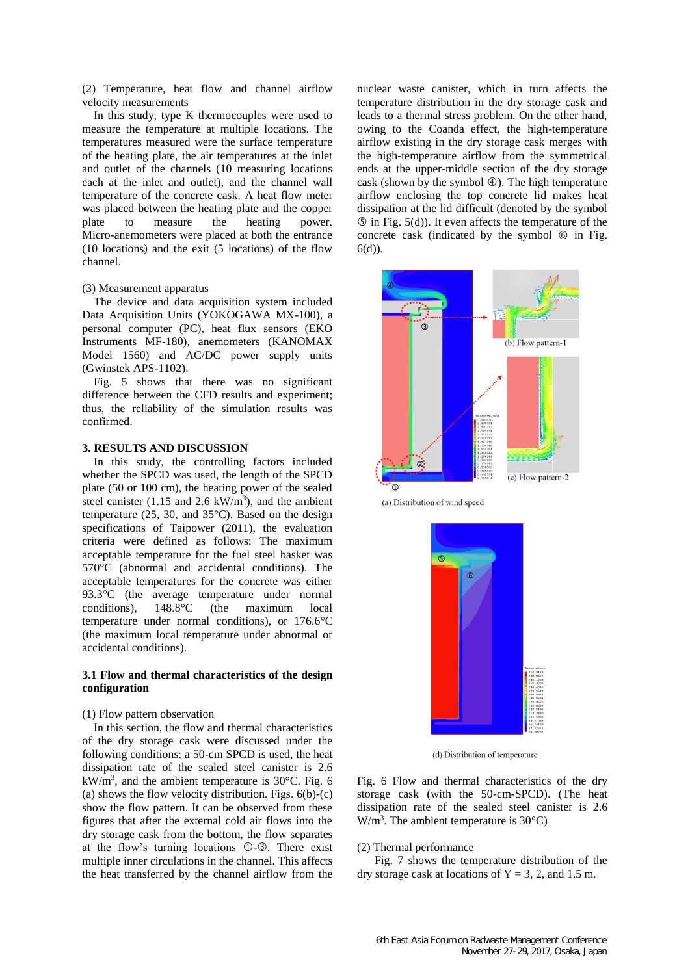(2) Temperature, heat flow and channel airflow velocity measurements

In this study, type K thermocouples were used to measure the temperature at multiple locations. The temperatures measured were the surface temperature of the heating plate, the air temperatures at the inlet and outlet of the channels (10 measuring locations each at the inlet and outlet), and the channel wall temperature of the concrete cask. A heat flow meter was placed between the heating plate and the copper<br>plate to measure the heating power. to measure the heating power. Micro-anemometers were placed at both the entrance (10 locations) and the exit (5 locations) of the flow channel.

### (3) Measurement apparatus

The device and data acquisition system included Data Acquisition Units (YOKOGAWA MX-100), a personal computer (PC), heat flux sensors (EKO Instruments MF-180), anemometers (KANOMAX Model 1560) and AC/DC power supply units (Gwinstek APS-1102).

Fig. 5 shows that there was no significant difference between the CFD results and experiment; thus, the reliability of the simulation results was confirmed.

## **3. RESULTS AND DISCUSSION**

In this study, the controlling factors included whether the SPCD was used, the length of the SPCD plate (50 or 100 cm), the heating power of the sealed steel canister  $(1.15 \text{ and } 2.6 \text{ kW/m}^3)$ , and the ambient temperature (25, 30, and 35°C). Based on the design specifications of Taipower (2011), the evaluation criteria were defined as follows: The maximum acceptable temperature for the fuel steel basket was 570°C (abnormal and accidental conditions). The acceptable temperatures for the concrete was either 93.3°C (the average temperature under normal conditions), 148.8°C (the maximum local temperature under normal conditions), or 176.6°C (the maximum local temperature under abnormal or accidental conditions).

### **3.1 Flow and thermal characteristics of the design configuration**

#### (1) Flow pattern observation

In this section, the flow and thermal characteristics of the dry storage cask were discussed under the following conditions: a 50-cm SPCD is used, the heat dissipation rate of the sealed steel canister is 2.6  $kW/m<sup>3</sup>$ , and the ambient temperature is 30 $^{\circ}$ C. Fig. 6 (a) shows the flow velocity distribution. Figs.  $6(b)-(c)$ show the flow pattern. It can be observed from these figures that after the external cold air flows into the dry storage cask from the bottom, the flow separates at the flow's turning locations  $\mathbb{O}\text{-}\mathbb{O}$ . There exist multiple inner circulations in the channel. This affects the heat transferred by the channel airflow from the

nuclear waste canister, which in turn affects the temperature distribution in the dry storage cask and leads to a thermal stress problem. On the other hand, owing to the Coanda effect, the high-temperature airflow existing in the dry storage cask merges with the high-temperature airflow from the symmetrical ends at the upper-middle section of the dry storage cask (shown by the symbol  $\circled{a}$ ). The high temperature airflow enclosing the top concrete lid makes heat dissipation at the lid difficult (denoted by the symbol  $\circledS$  in Fig. 5(d)). It even affects the temperature of the concrete cask (indicated by the symbol  $\circledcirc$  in Fig. 6(d)).



(a) Distribution of wind speed



(d) Distribution of temperature

Fig. 6 Flow and thermal characteristics of the dry storage cask (with the 50-cm-SPCD). (The heat dissipation rate of the sealed steel canister is 2.6  $W/m<sup>3</sup>$ . The ambient temperature is 30 $^{\circ}$ C)

#### (2) Thermal performance

Fig. 7 shows the temperature distribution of the dry storage cask at locations of  $Y = 3, 2$ , and 1.5 m.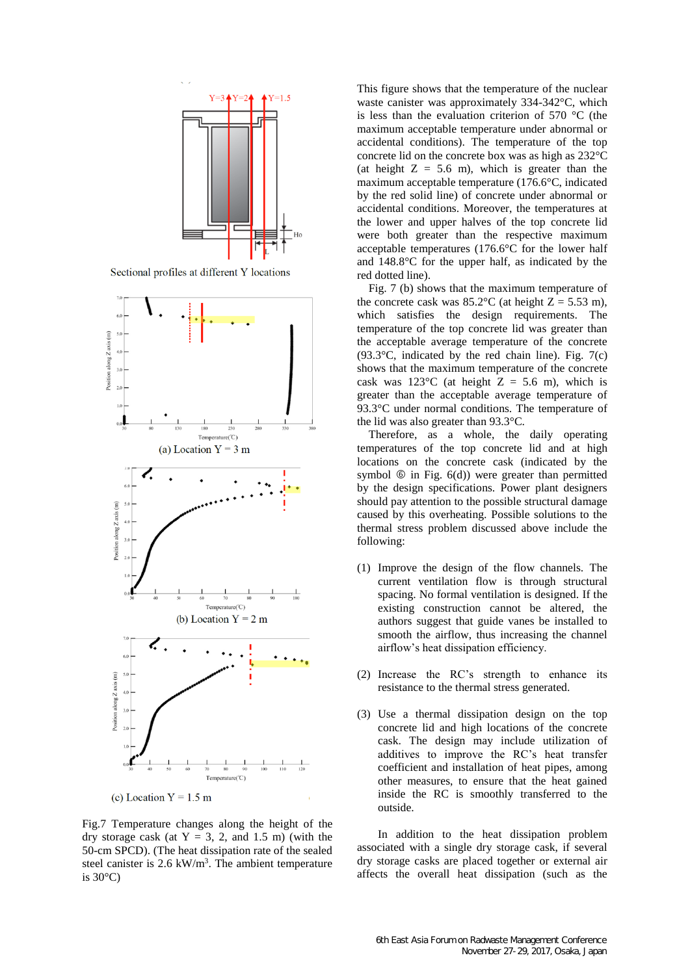

Sectional profiles at different Y locations



Fig.7 Temperature changes along the height of the dry storage cask (at  $Y = 3$ , 2, and 1.5 m) (with the 50-cm SPCD). (The heat dissipation rate of the sealed steel canister is  $2.6 \text{ kW/m}^3$ . The ambient temperature is  $30^{\circ}$ C)

This figure shows that the temperature of the nuclear waste canister was approximately 334-342°C, which is less than the evaluation criterion of 570 °C (the maximum acceptable temperature under abnormal or accidental conditions). The temperature of the top concrete lid on the concrete box was as high as 232°C (at height  $Z = 5.6$  m), which is greater than the maximum acceptable temperature (176.6°C, indicated by the red solid line) of concrete under abnormal or accidental conditions. Moreover, the temperatures at the lower and upper halves of the top concrete lid were both greater than the respective maximum acceptable temperatures (176.6°C for the lower half and 148.8°C for the upper half, as indicated by the red dotted line).

Fig. 7 (b) shows that the maximum temperature of the concrete cask was  $85.2^{\circ}$ C (at height Z = 5.53 m), which satisfies the design requirements. The temperature of the top concrete lid was greater than the acceptable average temperature of the concrete  $(93.3\degree C,$  indicated by the red chain line). Fig. 7(c) shows that the maximum temperature of the concrete cask was  $123^{\circ}$ C (at height Z = 5.6 m), which is greater than the acceptable average temperature of 93.3°C under normal conditions. The temperature of the lid was also greater than 93.3°C.

Therefore, as a whole, the daily operating temperatures of the top concrete lid and at high locations on the concrete cask (indicated by the symbol  $\circledcirc$  in Fig. 6(d)) were greater than permitted by the design specifications. Power plant designers should pay attention to the possible structural damage caused by this overheating. Possible solutions to the thermal stress problem discussed above include the following:

- (1) Improve the design of the flow channels. The current ventilation flow is through structural spacing. No formal ventilation is designed. If the existing construction cannot be altered, the authors suggest that guide vanes be installed to smooth the airflow, thus increasing the channel airflow's heat dissipation efficiency.
- (2) Increase the RC's strength to enhance its resistance to the thermal stress generated.
- (3) Use a thermal dissipation design on the top concrete lid and high locations of the concrete cask. The design may include utilization of additives to improve the RC's heat transfer coefficient and installation of heat pipes, among other measures, to ensure that the heat gained inside the RC is smoothly transferred to the outside.

In addition to the heat dissipation problem associated with a single dry storage cask, if several dry storage casks are placed together or external air affects the overall heat dissipation (such as the